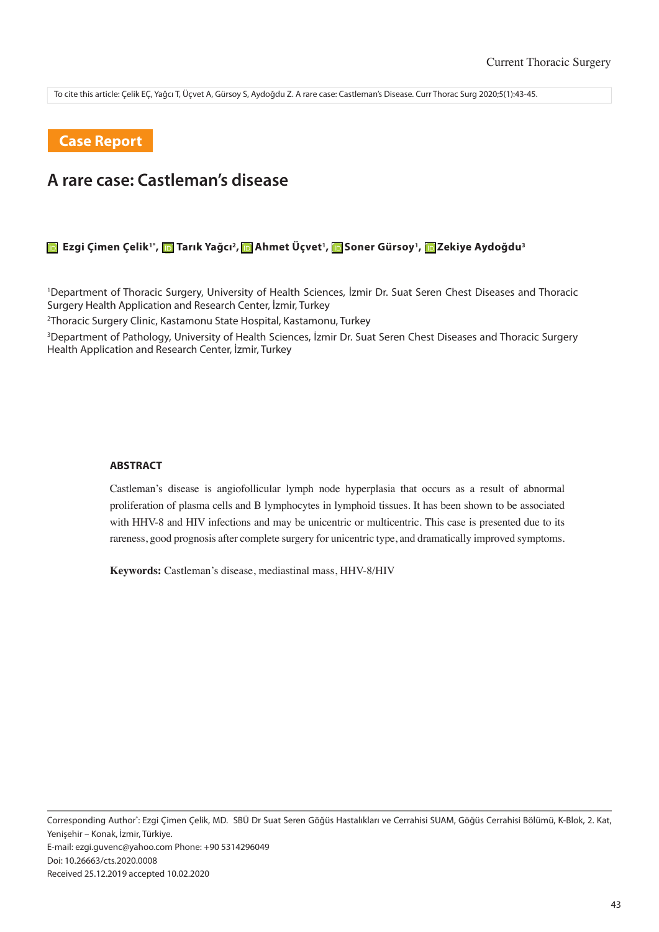To cite this article: Çelik EÇ, Yağcı T, Üçvet A, Gürsoy S, Aydoğdu Z. A rare case: Castleman's Disease. Curr Thorac Surg 2020;5(1):43-45.

## **Case Report**

# **A rare case: Castleman's disease**

#### **EzgiÇimen Çelik<sup>1\*</sup>, © Tarık Yağcı<sup>2</sup>, © Ahmet Üçvet<sup>1</sup>, © Soner Gürsoy<sup>1</sup>, © Zekiye Aydoğdu<sup>3</sup>**

1 Department of Thoracic Surgery, University of Health Sciences, İzmir Dr. Suat Seren Chest Diseases and Thoracic Surgery Health Application and Research Center, İzmir, Turkey

2 Thoracic Surgery Clinic, Kastamonu State Hospital, Kastamonu, Turkey

3 Department of Pathology, University of Health Sciences, İzmir Dr. Suat Seren Chest Diseases and Thoracic Surgery Health Application and Research Center, İzmir, Turkey

#### **ABSTRACT**

Castleman's disease is angiofollicular lymph node hyperplasia that occurs as a result of abnormal proliferation of plasma cells and B lymphocytes in lymphoid tissues. It has been shown to be associated with HHV-8 and HIV infections and may be unicentric or multicentric. This case is presented due to its rareness, good prognosis after complete surgery for unicentric type, and dramatically improved symptoms.

**Keywords:** Castleman's disease, mediastinal mass, HHV-8/HIV

Corresponding Author\* : Ezgi Çimen Çelik, MD. SBÜ Dr Suat Seren Göğüs Hastalıkları ve Cerrahisi SUAM, Göğüs Cerrahisi Bölümü, K-Blok, 2. Kat, Yenişehir – Konak, İzmir, Türkiye. E-mail: ezgi.guvenc@yahoo.com Phone: +90 5314296049 Doi: 10.26663/cts.2020.0008 Received 25.12.2019 accepted 10.02.2020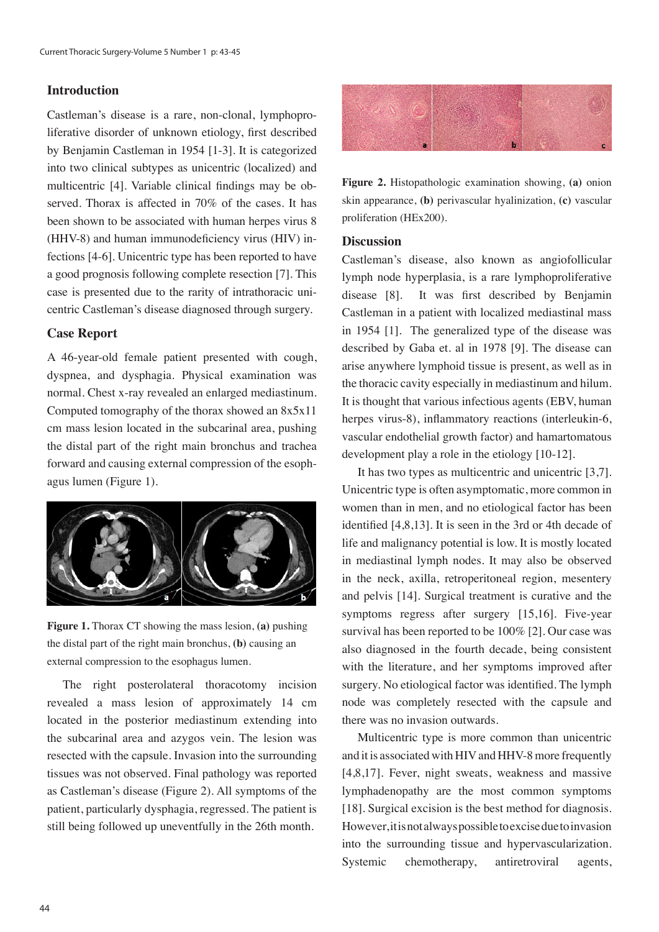### **Introduction**

Castleman's disease is a rare, non-clonal, lymphoproliferative disorder of unknown etiology, first described by Benjamin Castleman in 1954 [1-3]. It is categorized into two clinical subtypes as unicentric (localized) and multicentric [4]. Variable clinical findings may be observed. Thorax is affected in 70% of the cases. It has been shown to be associated with human herpes virus 8 (HHV-8) and human immunodeficiency virus (HIV) infections [4-6]. Unicentric type has been reported to have a good prognosis following complete resection [7]. This case is presented due to the rarity of intrathoracic unicentric Castleman's disease diagnosed through surgery.

## **Case Report**

A 46-year-old female patient presented with cough, dyspnea, and dysphagia. Physical examination was normal. Chest x-ray revealed an enlarged mediastinum. Computed tomography of the thorax showed an 8x5x11 cm mass lesion located in the subcarinal area, pushing the distal part of the right main bronchus and trachea forward and causing external compression of the esophagus lumen (Figure 1).



**Figure 1.** Thorax CT showing the mass lesion, **(a)** pushing the distal part of the right main bronchus, **(b)** causing an external compression to the esophagus lumen.

The right posterolateral thoracotomy incision revealed a mass lesion of approximately 14 cm located in the posterior mediastinum extending into the subcarinal area and azygos vein. The lesion was resected with the capsule. Invasion into the surrounding tissues was not observed. Final pathology was reported as Castleman's disease (Figure 2). All symptoms of the patient, particularly dysphagia, regressed. The patient is still being followed up uneventfully in the 26th month.



**Figure 2.** Histopathologic examination showing, **(a)** onion skin appearance, **(b)** perivascular hyalinization, **(c)** vascular proliferation (HEx200).

#### **Discussion**

Castleman's disease, also known as angiofollicular lymph node hyperplasia, is a rare lymphoproliferative disease [8]. It was first described by Benjamin Castleman in a patient with localized mediastinal mass in 1954 [1]. The generalized type of the disease was described by Gaba et. al in 1978 [9]. The disease can arise anywhere lymphoid tissue is present, as well as in the thoracic cavity especially in mediastinum and hilum. It is thought that various infectious agents (EBV, human herpes virus-8), inflammatory reactions (interleukin-6, vascular endothelial growth factor) and hamartomatous development play a role in the etiology [10-12].

It has two types as multicentric and unicentric [3,7]. Unicentric type is often asymptomatic, more common in women than in men, and no etiological factor has been identified [4,8,13]. It is seen in the 3rd or 4th decade of life and malignancy potential is low. It is mostly located in mediastinal lymph nodes. It may also be observed in the neck, axilla, retroperitoneal region, mesentery and pelvis [14]. Surgical treatment is curative and the symptoms regress after surgery [15,16]. Five-year survival has been reported to be 100% [2]. Our case was also diagnosed in the fourth decade, being consistent with the literature, and her symptoms improved after surgery. No etiological factor was identified. The lymph node was completely resected with the capsule and there was no invasion outwards.

Multicentric type is more common than unicentric and it is associated with HIV and HHV-8 more frequently [4,8,17]. Fever, night sweats, weakness and massive lymphadenopathy are the most common symptoms [18]. Surgical excision is the best method for diagnosis. However, it is not always possible to excise due to invasion into the surrounding tissue and hypervascularization. Systemic chemotherapy, antiretroviral agents,